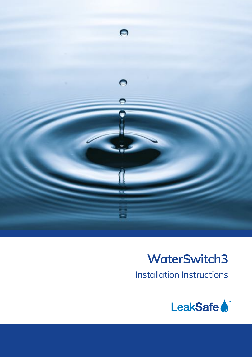

# **WaterSwitch3**

Installation Instructions

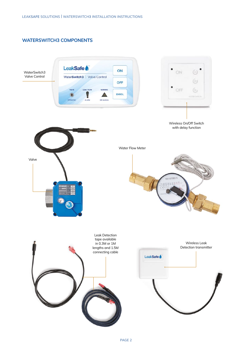# **WATERSWITCH3 COMPONENTS**

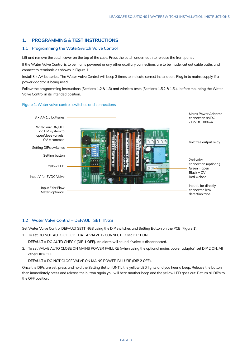## **1. PROGRAMMING & TEST INSTRUCTIONS**

## **1.1 Programming the WaterSwitch Valve Control**

Lift and remove the catch cover on the top of the case. Press the catch underneath to release the front panel.

If the Water Valve Control is to be mains powered or any other auxiliary connections are to be made, cut out cable paths and connect to terminals as shown in Figure 1.

Install 3 x AA batteries. The Water Valve Control will beep 3 times to indicate correct installation. Plug in to mains supply if a power adaptor is being used.

Follow the programming Instructions (Sections 1.2 & 1.3) and wireless tests (Sections 1.5.2 & 1.5.4) before mounting the Water Valve Control in its intended position.



## Figure 1. Water valve control, switches and connections

## **1.2 Water Valve Control – DEFAULT SETTINGS**

Set Water Valve Control DEFAULT SETTINGS using the DIP switches and Setting Button on the PCB (Figure 1).

1. To set DO NOT AUTO CHECK THAT A VALVE IS CONNECTED set DIP 1 ON.

**DEFAULT =** DO AUTO CHECK **(DIP 1 OFF).** An alarm will sound if valve is disconnected.

2. To set VALVE AUTO CLOSE ON MAINS POWER FAILURE (when using the optional mains power adaptor) set DIP 2 ON. All other DIPs OFF.

**DEFAULT =** DO NOT CLOSE VALVE ON MAINS POWER FAILURE **(DIP 2 OFF).**

Once the DIPs are set, press and hold the Setting Button UNTIL the yellow LED lights and you hear a beep. Release the button then immediately press and release the button again you will hear another beep and the yellow LED goes out. Return all DIPs to the OFF position.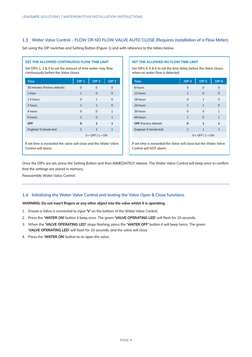## **1.3 Water Valve Control – FLOW OR NO FLOW VALVE AUTO CLOSE (Requires installation of a Flow Meter).**

Set using the DIP switches and Setting Button (Figure 1) and with reference to the tables below.

#### **SET THE ALLOWED CONTINUOUS FLOW TIME LIMIT**

Set DIPs 1, 2 & 3 to set the amount of time water may flow continuously before the Valve closes

| <b>Time</b>                  | DIP <sub>1</sub>     | DIP <sub>2</sub> | DIP <sub>3</sub> |  |
|------------------------------|----------------------|------------------|------------------|--|
| 30 minutes (Factory default) | O                    | ∩                | O                |  |
| 1 hour                       | $\mathbf{1}$         | $\Omega$         | $\Omega$         |  |
| 1.5 hours                    | $\Omega$             | 1                | $\Omega$         |  |
| 2 hours                      | $\mathbf{1}$         | $\mathbf{1}$     | $\Omega$         |  |
| 4 hours                      | $\Omega$             | $\Omega$         | $\mathbf{1}$     |  |
| 6 hours                      | $\mathbf{1}$         | $\Omega$         | $\mathbf{1}$     |  |
| <b>OFF</b>                   | $\Omega$             | 1                | 1                |  |
| Engineer 5 minute test       | $\mathbf{1}$         | $\mathbf{1}$     | $\mathbf{1}$     |  |
|                              | $0 =$ OFF $/ 1 =$ ON |                  |                  |  |
|                              |                      |                  |                  |  |

If set time is exceeded the valve will close and the Water Valve Control will alarm.

## **SET THE ALLOWED NO FLOW TIME LIMIT**

Set DIPs 4, 5 & 6 to set the time delay before the Valve closes when no water flow is detected

| <b>Time</b>                  | DIP <sub>4</sub>     | DIP <sub>5</sub> | DIP <sub>6</sub> |  |
|------------------------------|----------------------|------------------|------------------|--|
| 6 hours                      | $\Omega$             | O                | O                |  |
| 12 hours                     | $\mathbf{1}$         | $\Omega$         | O                |  |
| 18 hours                     | $\Omega$             | 1                | $\Omega$         |  |
| 24 hours                     | 1                    | $\mathbf{1}$     | $\Omega$         |  |
| 36 hours                     | $\Omega$             | O                | 1                |  |
| 48 hours                     | 1                    | O                | $\mathbf{1}$     |  |
| <b>OFF</b> (Factory default) | O                    | 1                | 1                |  |
| Engineer 5 minute test       | $\mathbf{1}$         | 1                | $\mathbf{1}$     |  |
|                              | $0 =$ OFF $/ 1 =$ ON |                  |                  |  |

If set time is exceeded the Valve will close but the Water Valve Control will NOT alarm.

Once the DIPs are set, press the Setting Button and then IMMEDIATELY release. The Water Valve Control will beep once to confrm that the settings are stored in memory.

Reassemble Water Valve Control.

## **1.4 Initialising the Water Valve Control and testing the Valve Open & Close functions**

#### **WARNING: Do not insert fngers or any other object into the valve whilst it is operating.**

- 1. Ensure a Valve is connected to input **'V'** on the bottom of the Water Valve Control.
- 2. Press the **'WATER ON'** button it beep once. The green **'VALVE OPERATING LED'** will fash for 10 seconds.
- 3. When the **'VALVE OPERATING LED'** stops fashing, press the **'WATER OFF'** button it will beep twice. The green 'VALVE OPERATING LED' will flash for 10 seconds, and the valve will close.
- 4. Press the **'WATER ON'** button to re-open the valve.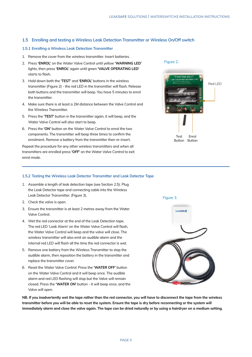## **1.5 Enrolling and testing a Wireless Leak Detection Transmitter or Wireless On/Off switch**

#### **1.5.1 Enrolling a Wireless Leak Detection Transmitter**

- 1. Remove the cover from the wireless transmitter. Insert batteries.
- 2. Press **'ENROL'** on the Water Valve Control until yellow **'WARNING LED'** lights, then press **'ENROL'** again until green **'VALVE OPERATING LED'**  starts to flash.
- 3. Hold down both the **'TEST'** and **'ENROL'** buttons in the wireless transmitter (Figure 2) - the red LED in the transmitter will flash. Release both buttons and the transmitter will beep. You have 5 minutes to enrol the transmitter.
- 4. Make sure there is at least a 2M distance between the Valve Control and the Wireless Transmitter.
- 5. Press the **'TEST'** button in the transmitter again, it will beep, and the Water Valve Control will also start to beep.
- 6. Press the **'ON'** button on the Water Valve Control to enrol the two components. The transmitter will beep three times to confrm the enrolment. Remove a battery from the transmitter then re-insert.

Repeat the procedure for any other wireless transmitters and when all transmitters are enrolled press **'OFF'** on the Water Valve Control to exit enrol mode.

## Figure 2.



## **1.5.2 Testing the Wireless Leak Detector Transmitter and Leak Detector Tape**

- 1. Assemble a length of leak detection tape (see Section 2.5). Plug the Leak Detector tape and connecting cable into the Wireless Leak Detector Transmitter. (Figure 3).
- 2. Check the valve is open.
- 3. Ensure the transmitter is at least 2 metres away from the Water Valve Control.
- 4. Wet the red connector at the end of the Leak Detection tape. The red LED 'Leak Alarm' on the Water Valve Control will fash, the Water Valve Control will beep and the valve will close. The wireless transmitter will also emit an audible alarm and the internal red LED will flash all the time the red connector is wet.
- 5. Remove one battery from the Wireless Transmitter to stop the audible alarm, then reposition the battery in the transmitter and replace the transmitter cover.
- 6. Reset the Water Valve Control: Press the **'WATER OFF'** button on the Water Valve Control and it will beep once. The audible alarm and red LED flashing will stop but the Valve will remain closed. Press the **'WATER ON'** button - it will beep once, and the Valve will open.

**NB. If you inadvertently wet the tape rather than the red connector, you will have to disconnect the tape from the wireless transmitter before you will be able to reset the system. Ensure the tape is dry before reconnecting or the system will immediately alarm and close the valve again. The tape can be dried naturally or by using a hairdryer on a medium setting.**

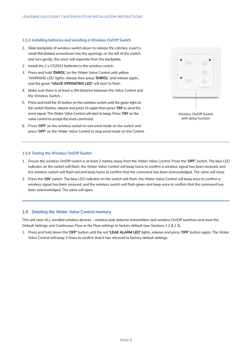## **1.5.3 Installing batteries and enrolling a Wireless On/Off Switch**

- 1. Slide backplate of wireless switch down to release the catches. Insert a small flat bladed screwdriver into the openings on the left of the switch and turn gently, the cover will separate from the backplate.
- 2. Install the 2 x CR2032 batteries in the wireless switch.
- 3. Press and hold **'ENROL'** on the Water Valve Control until yellow 'WARNING LED' lights, release then press **'ENROL'** and release again, and the green **'VALVE OPERATING LED'** will start to fash.
- 4. Make sure there is at least a 2M distance between the Valve Control and the Wireless Switch.
- 5. Press and hold the 1h button on the wireless switch until the green light on the switch flashes, release and press 1h again then press 'ON' to send the enrol signal. The Water Valve Control will start to beep. Press **'ON'** on the valve control to accept the enrol command.
- 6. Press **'OFF'** on the wireless switch to exit enrol mode on the switch and press **'OFF'** on the Water Valve Control to stop enrol mode on the Control.



Wireless On/Off Switch with delay function

## **1.5.4 Testing the Wireless On/Off Switch**

- 1. Ensure the wireless On/Off switch is at least 2 metres away from the Water Valve Control. Press the **'OFF'** switch. The blue LED indicator on the switch will flash, the Water Valve Control will beep twice to confirm a wireless signal has been received, and the wireless switch will fash red and beep twice to confrm that the command has been acknowledged. The valve will close.
- 2. Press the **'ON'** switch. The blue LED indicator on the switch will fash, the Water Valve Control will beep once to confrm a wireless signal has been received, and the wireless switch will flash green and beep once to confirm that the command has been acknowledged. The valve will open.

## **1.6 Deleting the Water Valve Control memory**

This will clear ALL enrolled wireless devices – wireless leak detector transmitters and wireless On/Off switches and reset the Default Settings and Continuous Flow or No Flow settings to factory default (see Sections 1.2 & 1.3).

1. Press and hold down the **'OFF'** button until the red **'LEAK ALARM LED'** lights, release and press **'OFF'** button again. The Water Valve Control will beep 3 times to confrm that it has returned to factory default settings.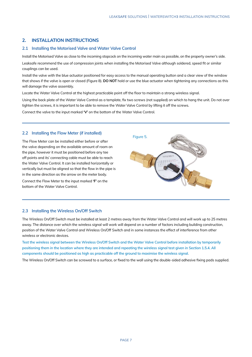## **2. INSTALLATION INSTRUCTIONS**

## **2.1 Installing the Motorised Valve and Water Valve Control**

Install the Motorised Valve as close to the incoming stopcock on the incoming water main as possible, on the property owner's side. Leaksafe recommend the use of compression joints when installing the Motorised Valve although soldered, speed ft or similar couplings can be used.

Install the valve with the blue actuator positioned for easy access to the manual operating button and a clear view of the window that shows if the valve is open or closed (Figure 8). **DO NOT** hold or use the blue actuator when tightening any connections as this will damage the valve assembly.

Locate the Water Valve Control at the highest practicable point off the floor to maintain a strong wireless signal.

Using the back plate of the Water Valve Control as a template, fx two screws (not supplied) on which to hang the unit. Do not over tighten the screws, it is important to be able to remove the Water Valve Control by lifting it off the screws.

Figure 5.

Connect the valve to the input marked **'V'** on the bottom of the Water Valve Control.

## **2.2 Installing the Flow Meter (if installed)**

The Flow Meter can be installed either before or after the valve depending on the available amount of room on the pipe, however it must be positioned before any tee off points and its' connecting cable must be able to reach the Water Valve Control. It can be installed horizontally or vertically but must be aligned so that the flow in the pipe is in the same direction as the arrow on the meter body.

Connect the Flow Meter to the input marked **'F'** on the bottom of the Water Valve Control.



## **2.3 Installing the Wireless On/Off Switch**

The Wireless On/Off Switch must be installed at least 2 metres away from the Water Valve Control and will work up to 25 metres away. The distance over which the wireless signal will work will depend on a number of factors including building construction, position of the Water Valve Control and Wireless On/Off Switch and in some instances the effect of interference from other wireless or electronic devices.

**Test the wireless signal between the Wireless On/Off Switch and the Water Valve Control before installation by temporarily positioning them in the location where they are intended and repeating the wireless signal test given in Section 1.5.4. All components should be positioned as high as practicable off the ground to maximise the wireless signal.** 

The Wireless On/Off Switch can be screwed to a surface, or fxed to the wall using the double-sided adhesive fxing pads supplied.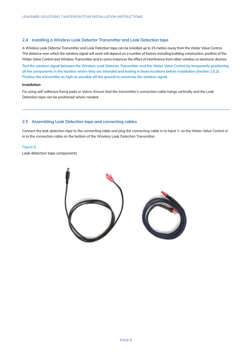## **2.4 Installing a Wireless Leak Detector Transmitter and Leak Detection tape**

A Wireless Leak Detector Transmitter and Leak Detection tape can be installed up to 25 metres away from the Water Valve Control. The distance over which the wireless signal will work will depend on a number of factors including building construction, position of the Water Valve Control and Wireless Transmitter and in some instances the effect of interference from other wireless or electronic devices.

**Test the wireless signal between the Wireless Leak Detector Transmitter and the Water Valve Control by temporarily positioning all the components in the location where they are intended and testing in those locations before installation (Section 1.5.2). Position the transmitter as high as possible off the ground to maximise the wireless signal.**

## **Installation**

Fix using self-adhesive fxing pads or Velcro. Ensure that the transmitter's connection cable hangs vertically and the Leak Detection tape can be positioned where needed.

## **2.5 Assembling Leak Detection tape and connecting cables**

Connect the leak detection tape to the connecting cable and plug the connecting cable in to Input 'L' on the Water Valve Control or in to the connection cable on the bottom of the Wireless Leak Detection Transmitter.

## Figure 6.

Leak detection tape components

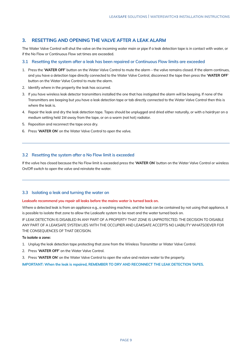## **3. RESETTING AND OPENING THE VALVE AFTER A LEAK ALARM**

The Water Valve Control will shut the valve on the incoming water main or pipe if a leak detection tape is in contact with water, or if the No Flow or Continuous Flow set times are exceeded.

#### **3.1 Resetting the system after a leak has been repaired or Continuous Flow limits are exceeded**

- 1. Press the '**WATER OFF**' button on the Water Valve Control to mute the alarm the valve remains closed. If the alarm continues, and you have a detection tape directly connected to the Water Valve Control, disconnect the tape then press the '**WATER OFF**' button on the Water Valve Control to mute the alarm.
- 2. Identify where in the property the leak has occurred.
- 3. If you have wireless leak detector transmitters installed the one that has instigated the alarm will be beeping. If none of the Transmitters are beeping but you have a leak detection tape or tab directly connected to the Water Valve Control then this is where the leak is.
- 4. Repair the leak and dry the leak detection tape. Tapes should be unplugged and dried either naturally, or with a hairdryer on a medium setting held 1M away from the tape, or on a warm (not hot) radiator.
- 5. Reposition and reconnect the tape once dry.
- 6. Press '**WATER ON**' on the Water Valve Control to open the valve.

## **3.2 Resetting the system after a No Flow limit is exceeded**

If the valve has closed because the No Flow limit is exceeded press the '**WATER ON**' button on the Water Valve Control or wireless On/Off switch to open the valve and reinstate the water.

## **3.3 Isolating a leak and turning the water on**

#### **Leaksafe recommend you repair all leaks before the mains water is turned back on.**

Where a detected leak is from an appliance e.g., a washing machine, and the leak can be contained by not using that appliance, it is possible to isolate that zone to allow the Leaksafe system to be reset and the water turned back on.

IF LEAK DETECTION IS DISABLED IN ANY PART OF A PROPERTY THAT ZONE IS UNPROTECTED. THE DECISION TO DISABLE ANY PART OF A LEAKSAFE SYSTEM LIES WITH THE OCCUPIER AND LEAKSAFE ACCEPTS NO LIABILITY WHATSOEVER FOR THE CONSEQUENCES OF THAT DECISION.

#### **To isolate a zone:**

- 1. Unplug the leak detection tape protecting that zone from the Wireless Transmitter or Water Valve Control.
- 2. Press '**WATER OFF**' on the Water Valve Control.
- 3. Press '**WATER ON**' on the Water Valve Control to open the valve and restore water to the property.

**IMPORTANT: When the leak is repaired, REMEMBER TO DRY AND RECONNECT THE LEAK DETECTION TAPES.**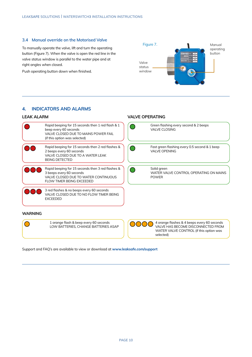## **3.4 Manual override on the Motorised Valve**

To manually operate the valve, lift and turn the operating button (Figure 7). When the valve is open the red line in the valve status window is parallel to the water pipe and at right angles when closed.

Push operating button down when finished.



## **4. INDICATORS AND ALARMS**

## **LEAK ALARM VALVE OPERATING**



Support and FAQ's are available to view or download at **www.leaksafe.com/support**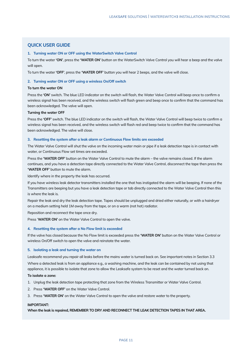## **QUICK USER GUIDE**

#### **1. Turning water ON or OFF using the WaterSwitch Valve Control**

To turn the water **'ON'**, press the **'WATER ON'** button on the WaterSwitch Valve Control you will hear a beep and the valve will open.

To turn the water **'OFF'**, press the **'WATER OFF'** button you will hear 2 beeps, and the valve will close.

## **2. Turning water ON or OFF using a wireless On/Off switch**

#### **To turn the water ON**

Press the **'ON'** switch. The blue LED indicator on the switch will fash, the Water Valve Control will beep once to confrm a wireless signal has been received, and the wireless switch will fash green and beep once to confrm that the command has been acknowledged. The valve will open.

#### **Turning the water OFF**

Press the **'OFF'** switch. The blue LED indicator on the switch will fash, the Water Valve Control will beep twice to confrm a wireless signal has been received, and the wireless switch will fash red and beep twice to confrm that the command has been acknowledged. The valve will close.

#### **3. Resetting the system after a leak alarm or Continuous Flow limits are exceeded**

The Water Valve Control will shut the valve on the incoming water main or pipe if a leak detection tape is in contact with water, or Continuous Flow set times are exceeded.

Press the **'WATER OFF'** button on the Water Valve Control to mute the alarm – the valve remains closed. If the alarm continues, and you have a detection tape directly connected to the Water Valve Control, disconnect the tape then press the **'WATER OFF'** button to mute the alarm.

Identify where in the property the leak has occurred.

If you have wireless leak detector transmitters installed the one that has instigated the alarm will be beeping. If none of the Transmitters are beeping but you have a leak detection tape or tab directly connected to the Water Valve Control then this is where the leak is.

Repair the leak and dry the leak detection tape. Tapes should be unplugged and dried either naturally, or with a hairdryer on a medium setting held 1M away from the tape, or on a warm (not hot) radiator.

Reposition and reconnect the tape once dry.

Press '**WATER ON'** on the Water Valve Control to open the valve.

#### **4. Resetting the system after a No Flow limit is exceeded**

If the valve has closed because the No Flow limit is exceeded press the **'WATER ON'** button on the Water Valve Control or wireless On/Off switch to open the valve and reinstate the water.

#### **5. Isolating a leak and turning the water on**

Leaksafe recommend you repair all leaks before the mains water is turned back on. See important notes in Section 3.3 Where a detected leak is from an appliance e.g., a washing machine, and the leak can be contained by not using that

appliance, it is possible to isolate that zone to allow the Leaksafe system to be reset and the water turned back on.

## **To isolate a zone:**

- 1. Unplug the leak detection tape protecting that zone from the Wireless Transmitter or Water Valve Control.
- 2. Press **'WATER OFF'** on the Water Valve Control.
- 3. Press **'WATER ON'** on the Water Valve Control to open the valve and restore water to the property.

## **IMPORTANT:**

**When the leak is repaired, REMEMBER TO DRY AND RECONNECT THE LEAK DETECTION TAPES IN THAT AREA.**